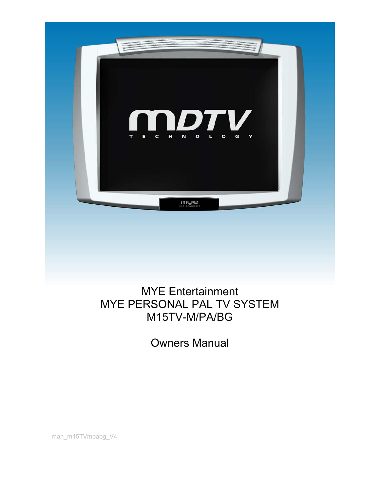

# MYE Entertainment MYE PERSONAL PAL TV SYSTEM M15TV-M/PA/BG

Owners Manual

man\_m15TVmpabg\_V4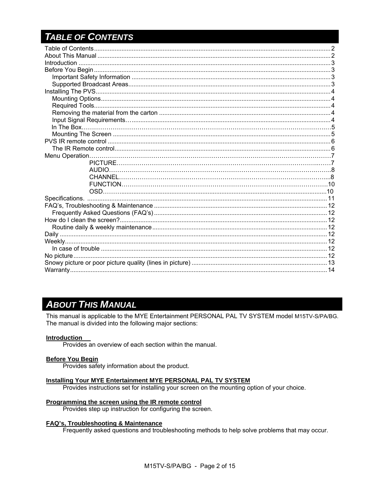# **TABLE OF CONTENTS**

# **ABOUT THIS MANUAL**

This manual is applicable to the MYE Entertainment PERSONAL PAL TV SYSTEM model M15TV-S/PA/BG. The manual is divided into the following major sections:

#### **Introduction**

Provides an overview of each section within the manual.

#### **Before You Begin**

Provides safety information about the product.

#### Installing Your MYE Entertainment MYE PERSONAL PAL TV SYSTEM

Provides instructions set for installing your screen on the mounting option of your choice.

#### Programming the screen using the IR remote control

Provides step up instruction for configuring the screen.

#### **FAQ's, Troubleshooting & Maintenance**

Frequently asked questions and troubleshooting methods to help solve problems that may occur.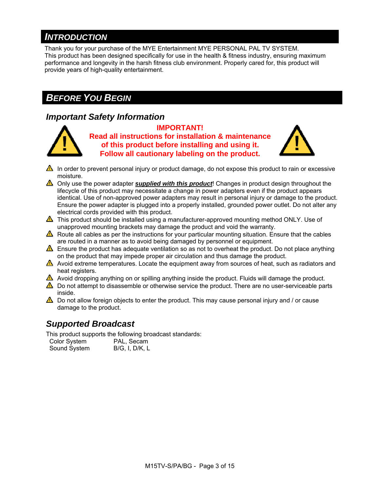# *INTRODUCTION*

Thank you for your purchase of the MYE Entertainment MYE PERSONAL PAL TV SYSTEM. This product has been designed specifically for use in the health & fitness industry, ensuring maximum performance and longevity in the harsh fitness club environment. Properly cared for, this product will provide years of high-quality entertainment.

# *BEFORE YOU BEGIN*

### *Important Safety Information*



**IMPORTANT! Read all instructions for installation & maintenance of this product before installing and using it. Follow all cautionary labeling on the product.** 



- $\triangle$  In order to prevent personal injury or product damage, do not expose this product to rain or excessive moisture.
- Only use the power adapter *supplied with this product*! Changes in product design throughout the lifecycle of this product may necessitate a change in power adapters even if the product appears identical. Use of non-approved power adapters may result in personal injury or damage to the product. Ensure the power adapter is plugged into a properly installed, grounded power outlet. Do not alter any electrical cords provided with this product.
- $\triangle$  This product should be installed using a manufacturer-approved mounting method ONLY. Use of unapproved mounting brackets may damage the product and void the warranty.
- $\triangle$  Route all cables as per the instructions for your particular mounting situation. Ensure that the cables are routed in a manner as to avoid being damaged by personnel or equipment.
- Ensure the product has adequate ventilation so as not to overheat the product. Do not place anything on the product that may impede proper air circulation and thus damage the product.
- Avoid extreme temperatures. Locate the equipment away from sources of heat, such as radiators and heat registers.
- Avoid dropping anything on or spilling anything inside the product. Fluids will damage the product.
- $\triangle$  Do not attempt to disassemble or otherwise service the product. There are no user-serviceable parts inside.
- $\triangle$  Do not allow foreign objects to enter the product. This may cause personal injury and / or cause damage to the product.

## *Supported Broadcast*

This product supports the following broadcast standards:

| <b>Color System</b> | PAL, Secam     |
|---------------------|----------------|
| Sound System        | B/G, I, D/K, L |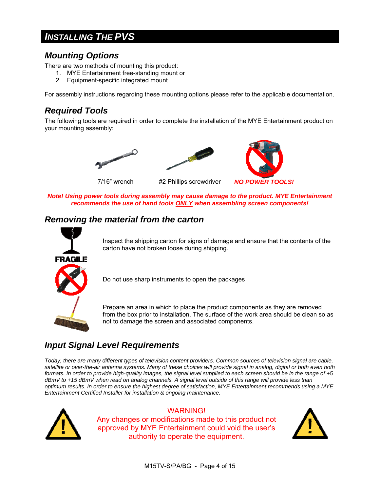# *INSTALLING THE PVS*

### *Mounting Options*

There are two methods of mounting this product:

- 1. MYE Entertainment free-standing mount or
- 2. Equipment-specific integrated mount

For assembly instructions regarding these mounting options please refer to the applicable documentation.

### *Required Tools*

The following tools are required in order to complete the installation of the MYE Entertainment product on your mounting assembly:









*Note! Using power tools during assembly may cause damage to the product. MYE Entertainment recommends the use of hand tools ONLY when assembling screen components!*

### *Removing the material from the carton*



Inspect the shipping carton for signs of damage and ensure that the contents of the carton have not broken loose during shipping.

Do not use sharp instruments to open the packages

Prepare an area in which to place the product components as they are removed from the box prior to installation. The surface of the work area should be clean so as not to damage the screen and associated components.

## *Input Signal Level Requirements*

*Today, there are many different types of television content providers. Common sources of television signal are cable, satellite or over-the-air antenna systems. Many of these choices will provide signal in analog, digital or both even both formats. In order to provide high-quality images, the signal level supplied to each screen should be in the range of +5 dBmV to +15 dBmV when read on analog channels. A signal level outside of this range will provide less than optimum results. In order to ensure the highest degree of satisfaction, MYE Entertainment recommends using a MYE Entertainment Certified Installer for installation & ongoing maintenance.* 



#### WARNING!

Any changes or modifications made to this product not approved by MYE Entertainment could void the user's authority to operate the equipment.

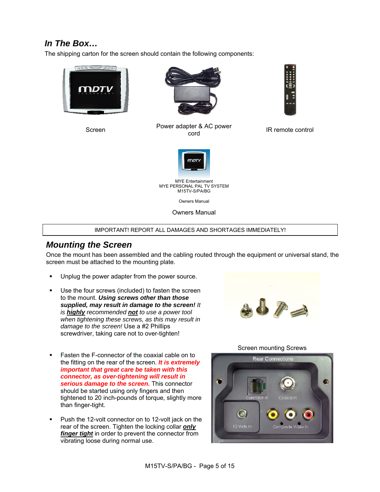### *In The Box…*

The shipping carton for the screen should contain the following components:





Screen Power adapter & AC power<br>
cord



IR remote control



 MYE Entertainment MYE PERSONAL PAL TV SYSTEM M15TV-S/PA/BG

Owners Manual

Owners Manual

#### IMPORTANT! REPORT ALL DAMAGES AND SHORTAGES IMMEDIATELY!

### *Mounting the Screen*

Once the mount has been assembled and the cabling routed through the equipment or universal stand, the screen must be attached to the mounting plate.

- **Unplug the power adapter from the power source.**
- Use the four screws (included) to fasten the screen to the mount. *Using screws other than those supplied, may result in damage to the screen! It is highly recommended not to use a power tool when tightening these screws, as this may result in damage to the screen!* Use a #2 Phillips screwdriver, taking care not to over-tighten!



- **Fasten the F-connector of the coaxial cable on to** the fitting on the rear of the screen. *It is extremely important that great care be taken with this connector, as over-tightening will result in serious damage to the screen.* This connector should be started using only fingers and then tightened to 20 inch-pounds of torque, slightly more than finger-tight.
- **Push the 12-volt connector on to 12-volt jack on the** rear of the screen. Tighten the locking collar *only finger tight* in order to prevent the connector from vibrating loose during normal use.

Screen mounting Screws

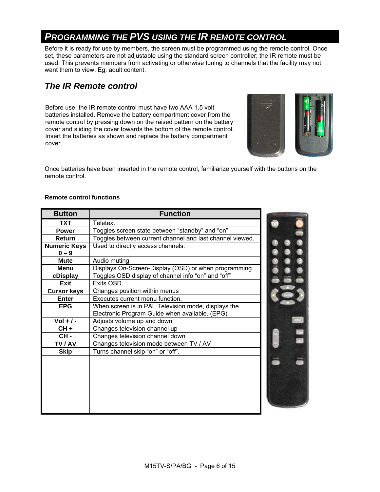# *PROGRAMMING THE PVS USING THE IR REMOTE CONTROL*

Before it is ready for use by members, the screen must be programmed using the remote control. Once set, these parameters are not adjustable using the standard screen controller; the IR remote must be used. This prevents members from activating or otherwise tuning to channels that the facility may not want them to view. Eg: adult content.

### *The IR Remote control*

Before use, the IR remote control must have two AAA 1.5 volt batteries installed. Remove the battery compartment cover from the remote control by pressing down on the raised pattern on the battery cover and sliding the cover towards the bottom of the remote control. Insert the batteries as shown and replace the battery compartment cover.



**Teesed** 

颰

88

Once batteries have been inserted in the remote control, familiarize yourself with the buttons on the remote control.

#### **Remote control functions**

| <b>Button</b>       | <b>Function</b>                                          |  |
|---------------------|----------------------------------------------------------|--|
| <b>TXT</b>          | <b>Teletext</b>                                          |  |
| <b>Power</b>        | Toggles screen state between "standby" and "on".         |  |
| <b>Return</b>       | Toggles between current channel and last channel viewed. |  |
| <b>Numeric Keys</b> | Used to directly access channels.                        |  |
| $0 - 9$             |                                                          |  |
| <b>Mute</b>         | Audio muting                                             |  |
| Menu                | Displays On-Screen-Display (OSD) or when programming.    |  |
| cDisplay            | Toggles OSD display of channel info "on" and "off"       |  |
| <b>Exit</b>         | Exits OSD                                                |  |
| <b>Cursor keys</b>  | Changes position within menus                            |  |
| Enter               | Executes current menu function.                          |  |
| <b>EPG</b>          | When screen is in PAL Television mode, displays the      |  |
|                     | Electronic Program Guide when available. (EPG)           |  |
| $Vol + / -$         | Adjusts volume up and down                               |  |
| $CH +$              | Changes television channel up                            |  |
| CH-                 | Changes television channel down                          |  |
| TV / AV             | Changes television mode between TV / AV                  |  |
| <b>Skip</b>         | Turns channel skip "on" or "off".                        |  |
|                     |                                                          |  |
|                     |                                                          |  |
|                     |                                                          |  |
|                     |                                                          |  |
|                     |                                                          |  |
|                     |                                                          |  |
|                     |                                                          |  |
|                     |                                                          |  |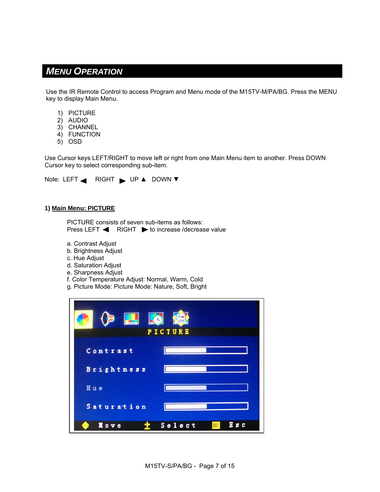### *MENU OPERATION*

Use the IR Remote Control to access Program and Menu mode of the M15TV-M/PA/BG. Press the MENU key to display Main Menu.

- 1) PICTURE
- 2) AUDIO
- 3) CHANNEL
- 4) FUNCTION
- 5) OSD

Use Cursor keys LEFT/RIGHT to move left or right from one Main Menu item to another. Press DOWN Cursor key to select corresponding sub-item.

Note: LEFT RIGHT > UP ▲ DOWN ▼

#### **1) Main Menu: PICTURE**

PICTURE consists of seven sub-items as follows: Press LEFT  $\blacktriangleleft$  RIGHT  $\blacktriangleright$  to increase /decrease value

a. Contrast Adjust

- b. Brightness Adjust
- c. Hue Adjust
- d. Saturation Adjust
- e. Sharpness Adjust
- f. Color Temperature Adjust: Normal, Warm, Cold
- g. Picture Mode: Picture Mode: Nature, Soft, Bright

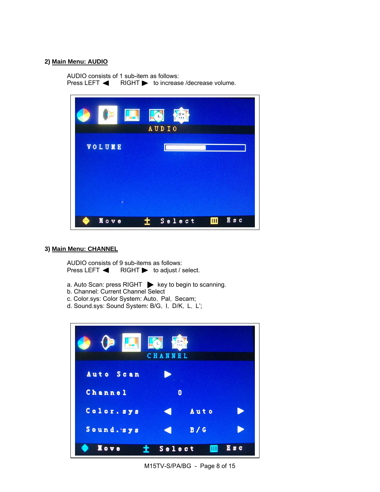#### **2) Main Menu: AUDIO**

AUDIO consists of 1 sub-item as follows:<br>Press LEFT < RIGHT > to increas  $RIGHT$  to increase /decrease volume.



#### **3) Main Menu: CHANNEL**

AUDIO consists of 9 sub-items as follows: Press LEFT  $\blacktriangleleft$  RIGHT  $\blacktriangleright$  to adjust / select.

- a. Auto Scan: press RIGHT  $\blacktriangleright$  key to begin to scanning.
- b. Channel: Current Channel Select
- c. Color.sys: Color System: Auto, Pal, Secam;
- d. Sound.sys: Sound System: B/G, I, D/K, L, L';

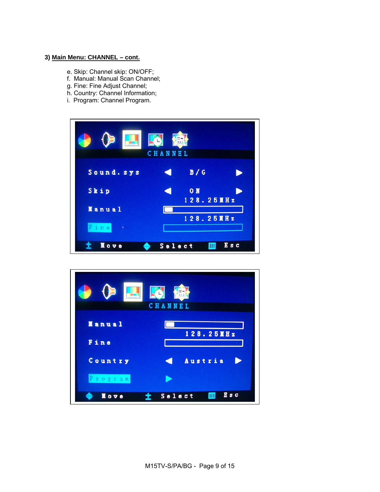#### **3) Main Menu: CHANNEL – cont.**

- e. Skip: Channel skip: ON/OFF;
- f. Manual: Manual Scan Channel;
- g. Fine: Fine Adjust Channel;
- h. Country: Channel Information;
- i. Program: Channel Program.



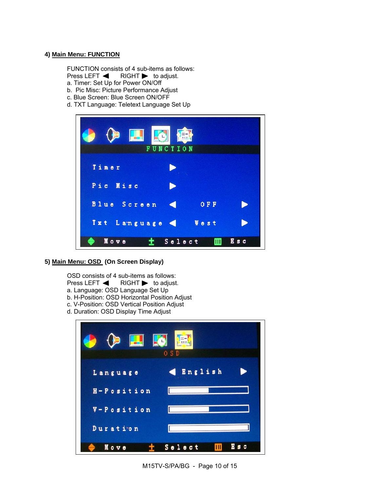#### **4) Main Menu: FUNCTION**

FUNCTION consists of 4 sub-items as follows:

- Press LEFT  $\blacktriangleleft$  RIGHT  $\blacktriangleright$  to adjust.
- a. Timer: Set Up for Power ON/Off
- b. Pic Misc: Picture Performance Adjust
- c. Blue Screen: Blue Screen ON/OFF
- d. TXT Language: Teletext Language Set Up



**5) Main Menu: OSD (On Screen Display)** 

OSD consists of 4 sub-items as follows: Press LEFT  $\blacktriangleleft$  RIGHT  $\blacktriangleright$  to adjust. a. Language: OSD Language Set Up b. H-Position: OSD Horizontal Position Adjust

- c. V-Position: OSD Vertical Position Adjust
- d. Duration: OSD Display Time Adjust

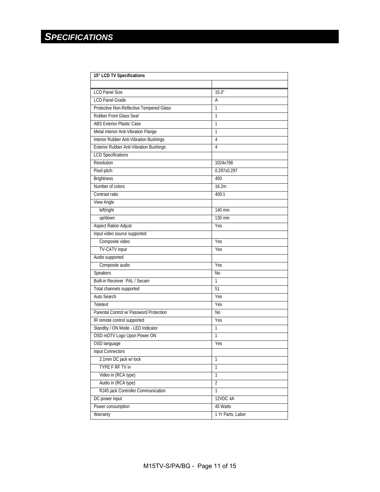| 15" LCD TV Specifications                      |                   |  |  |
|------------------------------------------------|-------------------|--|--|
|                                                |                   |  |  |
| <b>LCD Panel Size</b>                          | 15.0"             |  |  |
| <b>LCD Panel Grade</b>                         | A                 |  |  |
| Protective Non-Reflective Tempered Glass       | 1                 |  |  |
| Rubber Front Glass Seal                        | 1                 |  |  |
| <b>ABS Exterior Plastic Case</b>               | 1                 |  |  |
| Metal Interior Anti-Vibration Flange           | 1                 |  |  |
| Interior Rubber Anti-Vibration Bushings        | 4                 |  |  |
| <b>Exterior Rubber Anti-Vibration Bushings</b> | 4                 |  |  |
| <b>LCD Specifications</b>                      |                   |  |  |
| Resolution                                     | 1024x768          |  |  |
| Pixel pitch                                    | 0.297x0.297       |  |  |
| <b>Brightness</b>                              | 450               |  |  |
| Number of colors                               | 16.2m             |  |  |
| Contrast ratio                                 | 400:1             |  |  |
| View Angle                                     |                   |  |  |
| left/right                                     | 140 min           |  |  |
| up/down                                        | $130 \text{ min}$ |  |  |
| <b>Aspect Ration Adjust</b>                    | Yes               |  |  |
| Input video source supported                   |                   |  |  |
| Composite video                                | Yes               |  |  |
| <b>TV-CATV</b> input                           | Yes               |  |  |
| Audio supported                                |                   |  |  |
| Composite audio                                | Yes               |  |  |
| Speakers                                       | <b>No</b>         |  |  |
| Built-in Receiver PAL / Secam                  | 1                 |  |  |
| Total channels supported                       | 51                |  |  |
| Auto Search                                    | Yes               |  |  |
| Teletext                                       | Yes               |  |  |
| Parental Control w/ Password Protection        | <b>No</b>         |  |  |
| IR remote control supported                    | Yes               |  |  |
| Standby / ON Mode - LED Indicator              | 1                 |  |  |
| OSD mDTV Logo Upon Power ON                    | 1                 |  |  |
| OSD language                                   | Yes               |  |  |
| <b>Input Connectors</b>                        |                   |  |  |
| 2.1mm DC jack w/lock                           | 1                 |  |  |
| TYPE F RF TV in                                | 1                 |  |  |
| Video in (RCA type)                            | 1                 |  |  |
| Audio in (RCA type)                            | $\overline{2}$    |  |  |
| RJ45 jack Controller Communication             | 1                 |  |  |
| DC power input                                 | 12VDC 4A          |  |  |
| Power consumption                              | 45 Watts          |  |  |
| Warranty                                       | 1 Yr Parts, Labor |  |  |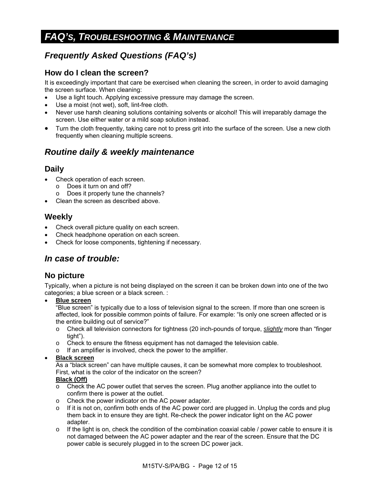# *FAQ'S, TROUBLESHOOTING & MAINTENANCE*

## *Frequently Asked Questions (FAQ's)*

### **How do I clean the screen?**

It is exceedingly important that care be exercised when cleaning the screen, in order to avoid damaging the screen surface. When cleaning:

- Use a light touch. Applying excessive pressure may damage the screen.
- Use a moist (not wet), soft, lint-free cloth.
- Never use harsh cleaning solutions containing solvents or alcohol! This will irreparably damage the screen. Use either water or a mild soap solution instead.
- Turn the cloth frequently, taking care not to press grit into the surface of the screen. Use a new cloth frequently when cleaning multiple screens.

### *Routine daily & weekly maintenance*

### **Daily**

- Check operation of each screen.
	- o Does it turn on and off?
	- Does it properly tune the channels?
- Clean the screen as described above.

### **Weekly**

- Check overall picture quality on each screen.
- Check headphone operation on each screen.
- Check for loose components, tightening if necessary.

### *In case of trouble:*

### **No picture**

Typically, when a picture is not being displayed on the screen it can be broken down into one of the two categories; a blue screen or a black screen. :

• **Blue screen**

"Blue screen" is typically due to a loss of television signal to the screen. If more than one screen is affected, look for possible common points of failure. For example: "Is only one screen affected or is the entire building out of service?"

- o Check all television connectors for tightness (20 inch-pounds of torque, *slightly* more than "finger tight").
- o Check to ensure the fitness equipment has not damaged the television cable.
- o If an amplifier is involved, check the power to the amplifier.

#### • **Black screen**

As a "black screen" can have multiple causes, it can be somewhat more complex to troubleshoot. First, what is the color of the indicator on the screen?

#### **Black (Off)**

- o Check the AC power outlet that serves the screen. Plug another appliance into the outlet to confirm there is power at the outlet.
- o Check the power indicator on the AC power adapter.
- $\circ$  If it is not on, confirm both ends of the AC power cord are plugged in. Unplug the cords and plug them back in to ensure they are tight. Re-check the power indicator light on the AC power adapter.
- $\circ$  If the light is on, check the condition of the combination coaxial cable / power cable to ensure it is not damaged between the AC power adapter and the rear of the screen. Ensure that the DC power cable is securely plugged in to the screen DC power jack.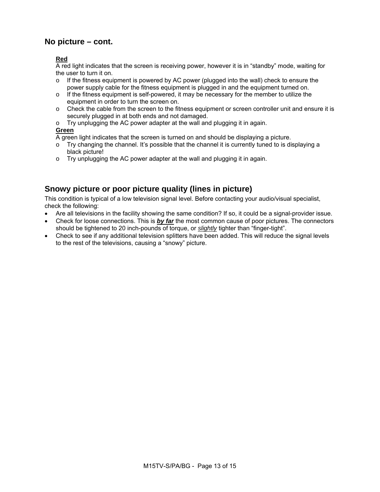### **No picture – cont.**

#### **Red**

A red light indicates that the screen is receiving power, however it is in "standby" mode, waiting for the user to turn it on.

- $\circ$  If the fitness equipment is powered by AC power (plugged into the wall) check to ensure the power supply cable for the fitness equipment is plugged in and the equipment turned on.
- $\circ$  If the fitness equipment is self-powered, it may be necessary for the member to utilize the equipment in order to turn the screen on.
- o Check the cable from the screen to the fitness equipment or screen controller unit and ensure it is securely plugged in at both ends and not damaged.
- o Try unplugging the AC power adapter at the wall and plugging it in again.

#### **Green**

A green light indicates that the screen is turned on and should be displaying a picture.

- $\circ$  Try changing the channel. It's possible that the channel it is currently tuned to is displaying a black picture!
- o Try unplugging the AC power adapter at the wall and plugging it in again.

### **Snowy picture or poor picture quality (lines in picture)**

This condition is typical of a low television signal level. Before contacting your audio/visual specialist, check the following:

- Are all televisions in the facility showing the same condition? If so, it could be a signal-provider issue.
- Check for loose connections. This is *by far* the most common cause of poor pictures. The connectors should be tightened to 20 inch-pounds of torque, or *slightly* tighter than "finger-tight".
- Check to see if any additional television splitters have been added. This will reduce the signal levels to the rest of the televisions, causing a "snowy" picture.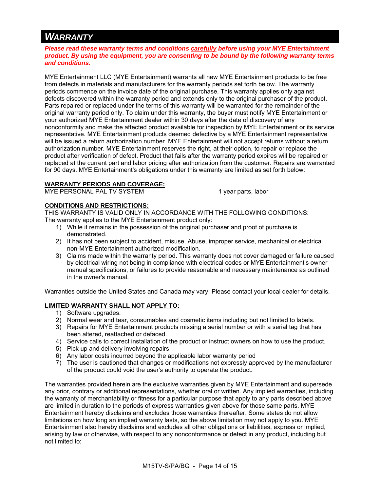## *WARRANTY*

*Please read these warranty terms and conditions carefully before using your MYE Entertainment product. By using the equipment, you are consenting to be bound by the following warranty terms and conditions.* 

MYE Entertainment LLC (MYE Entertainment) warrants all new MYE Entertainment products to be free from defects in materials and manufacturers for the warranty periods set forth below. The warranty periods commence on the invoice date of the original purchase. This warranty applies only against defects discovered within the warranty period and extends only to the original purchaser of the product. Parts repaired or replaced under the terms of this warranty will be warranted for the remainder of the original warranty period only. To claim under this warranty, the buyer must notify MYE Entertainment or your authorized MYE Entertainment dealer within 30 days after the date of discovery of any nonconformity and make the affected product available for inspection by MYE Entertainment or its service representative. MYE Entertainment products deemed defective by a MYE Entertainment representative will be issued a return authorization number. MYE Entertainment will not accept returns without a return authorization number. MYE Entertainment reserves the right, at their option, to repair or replace the product after verification of defect. Product that fails after the warranty period expires will be repaired or replaced at the current part and labor pricing after authorization from the customer. Repairs are warranted for 90 days. MYE Entertainment's obligations under this warranty are limited as set forth below:

#### **WARRANTY PERIODS AND COVERAGE:**

MYE PERSONAL PAL TV SYSTEM 1 year parts, labor

### **CONDITIONS AND RESTRICTIONS:**

THIS WARRANTY IS VALID ONLY IN ACCORDANCE WITH THE FOLLOWING CONDITIONS: The warranty applies to the MYE Entertainment product only:

- 1) While it remains in the possession of the original purchaser and proof of purchase is demonstrated.
- 2) It has not been subject to accident, misuse. Abuse, improper service, mechanical or electrical non-MYE Entertainment authorized modification.
- 3) Claims made within the warranty period. This warranty does not cover damaged or failure caused by electrical wiring not being in compliance with electrical codes or MYE Entertainment's owner manual specifications, or failures to provide reasonable and necessary maintenance as outlined in the owner's manual.

Warranties outside the United States and Canada may vary. Please contact your local dealer for details.

#### **LIMITED WARRANTY SHALL NOT APPLY TO:**

- 1) Software upgrades.
- 2) Normal wear and tear, consumables and cosmetic items including but not limited to labels.
- 3) Repairs for MYE Entertainment products missing a serial number or with a serial tag that has been altered, reattached or defaced.
- 4) Service calls to correct installation of the product or instruct owners on how to use the product.
- 5) Pick up and delivery involving repairs
- 6) Any labor costs incurred beyond the applicable labor warranty period
- 7) The user is cautioned that changes or modifications not expressly approved by the manufacturer of the product could void the user's authority to operate the product.

The warranties provided herein are the exclusive warranties given by MYE Entertainment and supersede any prior, contrary or additional representations, whether oral or written. Any implied warranties, including the warranty of merchantability or fitness for a particular purpose that apply to any parts described above are limited in duration to the periods of express warranties given above for those same parts. MYE Entertainment hereby disclaims and excludes those warranties thereafter. Some states do not allow limitations on how long an implied warranty lasts, so the above limitation may not apply to you. MYE Entertainment also hereby disclaims and excludes all other obligations or liabilities, express or implied, arising by law or otherwise, with respect to any nonconformance or defect in any product, including but not limited to: